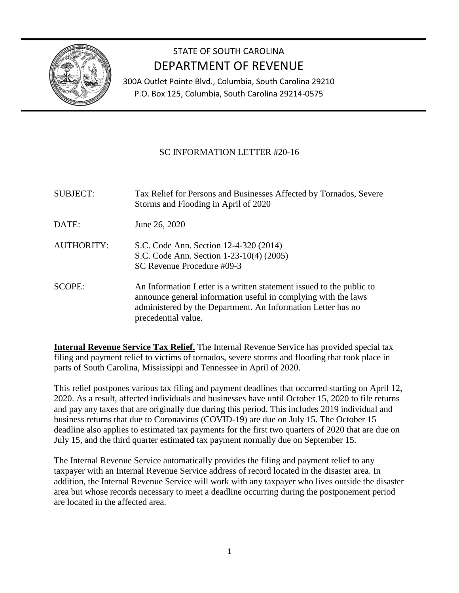

## STATE OF SOUTH CAROLINA DEPARTMENT OF REVENUE

300A Outlet Pointe Blvd., Columbia, South Carolina 29210 P.O. Box 125, Columbia, South Carolina 29214-0575

### SC INFORMATION LETTER #20-16

| <b>SUBJECT:</b>   | Tax Relief for Persons and Businesses Affected by Tornados, Severe<br>Storms and Flooding in April of 2020                                                                                                                    |
|-------------------|-------------------------------------------------------------------------------------------------------------------------------------------------------------------------------------------------------------------------------|
| DATE:             | June 26, 2020                                                                                                                                                                                                                 |
| <b>AUTHORITY:</b> | S.C. Code Ann. Section 12-4-320 (2014)<br>S.C. Code Ann. Section 1-23-10(4) (2005)<br>SC Revenue Procedure #09-3                                                                                                              |
| <b>SCOPE:</b>     | An Information Letter is a written statement issued to the public to<br>announce general information useful in complying with the laws<br>administered by the Department. An Information Letter has no<br>precedential value. |

**Internal Revenue Service Tax Relief.** The Internal Revenue Service has provided special tax filing and payment relief to victims of tornados, severe storms and flooding that took place in parts of South Carolina, Mississippi and Tennessee in April of 2020.

This relief postpones various tax filing and payment deadlines that occurred starting on April 12, 2020. As a result, affected individuals and businesses have until October 15, 2020 to file returns and pay any taxes that are originally due during this period. This includes 2019 individual and business returns that due to Coronavirus (COVID-19) are due on July 15. The October 15 deadline also applies to estimated tax payments for the first two quarters of 2020 that are due on July 15, and the third quarter estimated tax payment normally due on September 15.

The Internal Revenue Service automatically provides the filing and payment relief to any taxpayer with an Internal Revenue Service address of record located in the disaster area. In addition, the Internal Revenue Service will work with any taxpayer who lives outside the disaster area but whose records necessary to meet a deadline occurring during the postponement period are located in the affected area.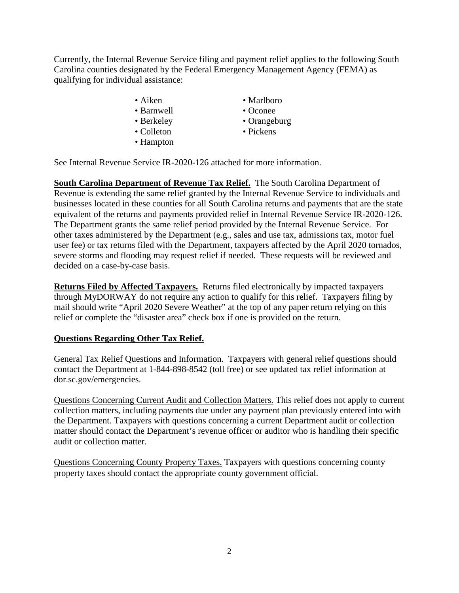Currently, the Internal Revenue Service filing and payment relief applies to the following South Carolina counties designated by the Federal Emergency Management Agency (FEMA) as qualifying for individual assistance:

- 
- Barnwell Oconee
- 
- Colleton Pickens
- Hampton
- Aiken Marlboro
	-
- Berkeley Orangeburg
	-

See Internal Revenue Service IR-2020-126 attached for more information.

**South Carolina Department of Revenue Tax Relief.** The South Carolina Department of Revenue is extending the same relief granted by the Internal Revenue Service to individuals and businesses located in these counties for all South Carolina returns and payments that are the state equivalent of the returns and payments provided relief in Internal Revenue Service IR-2020-126. The Department grants the same relief period provided by the Internal Revenue Service. For other taxes administered by the Department (e.g., sales and use tax, admissions tax, motor fuel user fee) or tax returns filed with the Department, taxpayers affected by the April 2020 tornados, severe storms and flooding may request relief if needed. These requests will be reviewed and decided on a case-by-case basis.

**Returns Filed by Affected Taxpayers.** Returns filed electronically by impacted taxpayers through MyDORWAY do not require any action to qualify for this relief. Taxpayers filing by mail should write "April 2020 Severe Weather" at the top of any paper return relying on this relief or complete the "disaster area" check box if one is provided on the return.

#### **Questions Regarding Other Tax Relief.**

General Tax Relief Questions and Information. Taxpayers with general relief questions should contact the Department at 1-844-898-8542 (toll free) or see updated tax relief information at dor.sc.gov/emergencies.

Questions Concerning Current Audit and Collection Matters. This relief does not apply to current collection matters, including payments due under any payment plan previously entered into with the Department. Taxpayers with questions concerning a current Department audit or collection matter should contact the Department's revenue officer or auditor who is handling their specific audit or collection matter.

Questions Concerning County Property Taxes. Taxpayers with questions concerning county property taxes should contact the appropriate county government official.